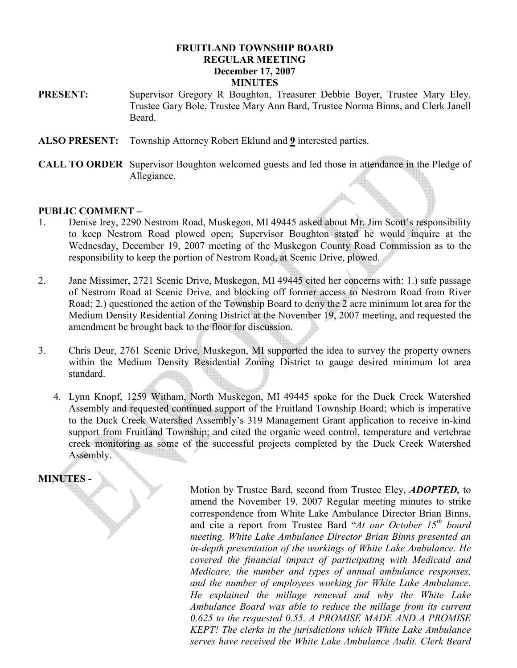### FRUITLAND TOWNSHIP BOARD REGULAR MEETING December 17, 2007 **MINUTES**

- PRESENT: Supervisor Gregory R Boughton, Treasurer Debbie Boyer, Trustee Mary Eley, Trustee Gary Bole, Trustee Mary Ann Bard, Trustee Norma Binns, and Clerk Janell Beard.
- ALSO PRESENT: Township Attorney Robert Eklund and 9 interested parties.
- CALL TO ORDER Supervisor Boughton welcomed guests and led those in attendance in the Pledge of Allegiance.

#### PUBLIC COMMENT –

- 1. Denise Irey, 2290 Nestrom Road, Muskegon, MI 49445 asked about Mr. Jim Scott's responsibility to keep Nestrom Road plowed open; Supervisor Boughton stated he would inquire at the Wednesday, December 19, 2007 meeting of the Muskegon County Road Commission as to the responsibility to keep the portion of Nestrom Road, at Scenic Drive, plowed.
- 2. Jane Missimer, 2721 Scenic Drive, Muskegon, MI 49445 cited her concerns with: 1.) safe passage of Nestrom Road at Scenic Drive, and blocking off former access to Nestrom Road from River Road; 2.) questioned the action of the Township Board to deny the 2 acre minimum lot area for the Medium Density Residential Zoning District at the November 19, 2007 meeting, and requested the amendment be brought back to the floor for discussion.
- 3. Chris Deur, 2761 Scenic Drive, Muskegon, MI supported the idea to survey the property owners within the Medium Density Residential Zoning District to gauge desired minimum lot area standard.
	- 4. Lynn Knopf, 1259 Witham, North Muskegon, MI 49445 spoke for the Duck Creek Watershed Assembly and requested continued support of the Fruitland Township Board; which is imperative to the Duck Creek Watershed Assembly's 319 Management Grant application to receive in-kind support from Fruitland Township; and cited the organic weed control, temperature and vertebrae creek monitoring as some of the successful projects completed by the Duck Creek Watershed Assembly.

# MINUTES -

Motion by Trustee Bard, second from Trustee Eley, **ADOPTED**, to amend the November 19, 2007 Regular meeting minutes to strike correspondence from White Lake Ambulance Director Brian Binns, and cite a report from Trustee Bard "At our October  $15<sup>th</sup>$  board meeting, White Lake Ambulance Director Brian Binns presented an in-depth presentation of the workings of White Lake Ambulance. He covered the financial impact of participating with Medicaid and Medicare, the number and types of annual ambulance responses, and the number of employees working for White Lake Ambulance. He explained the millage renewal and why the White Lake Ambulance Board was able to reduce the millage from its current 0.625 to the requested 0.55. A PROMISE MADE AND A PROMISE KEPT! The clerks in the jurisdictions which White Lake Ambulance serves have received the White Lake Ambulance Audit. Clerk Beard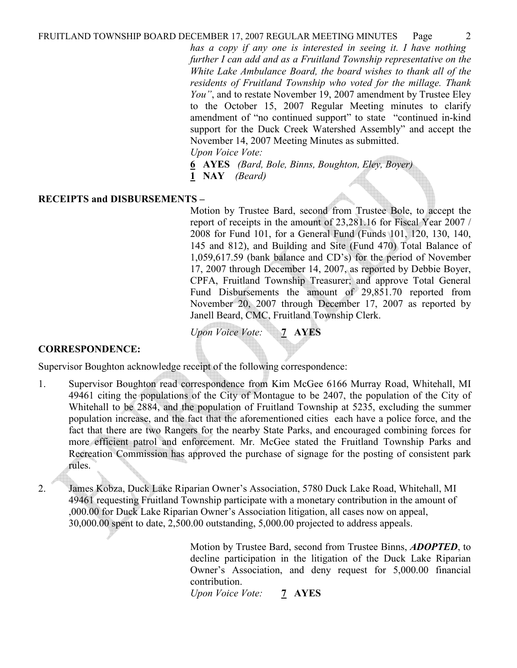has a copy if any one is interested in seeing it. I have nothing further I can add and as a Fruitland Township representative on the White Lake Ambulance Board, the board wishes to thank all of the residents of Fruitland Township who voted for the millage. Thank You", and to restate November 19, 2007 amendment by Trustee Eley to the October 15, 2007 Regular Meeting minutes to clarify amendment of "no continued support" to state "continued in-kind support for the Duck Creek Watershed Assembly" and accept the November 14, 2007 Meeting Minutes as submitted. Upon Voice Vote:

6 AYES (Bard, Bole, Binns, Boughton, Eley, Boyer)

1 **NAY** *(Beard)* 

### RECEIPTS and DISBURSEMENTS –

Motion by Trustee Bard, second from Trustee Bole, to accept the report of receipts in the amount of 23,281.16 for Fiscal Year 2007 / 2008 for Fund 101, for a General Fund (Funds 101, 120, 130, 140, 145 and 812), and Building and Site (Fund 470) Total Balance of 1,059,617.59 (bank balance and CD's) for the period of November 17, 2007 through December 14, 2007, as reported by Debbie Boyer, CPFA, Fruitland Township Treasurer; and approve Total General Fund Disbursements the amount of 29,851.70 reported from November 20, 2007 through December 17, 2007 as reported by Janell Beard, CMC, Fruitland Township Clerk.

Upon Voice Vote: 7 AYES

#### CORRESPONDENCE:

Supervisor Boughton acknowledge receipt of the following correspondence:

- 1. Supervisor Boughton read correspondence from Kim McGee 6166 Murray Road, Whitehall, MI 49461 citing the populations of the City of Montague to be 2407, the population of the City of Whitehall to be 2884, and the population of Fruitland Township at 5235, excluding the summer population increase, and the fact that the aforementioned cities each have a police force, and the fact that there are two Rangers for the nearby State Parks, and encouraged combining forces for more efficient patrol and enforcement. Mr. McGee stated the Fruitland Township Parks and Recreation Commission has approved the purchase of signage for the posting of consistent park rules.
- 2. James Kobza, Duck Lake Riparian Owner's Association, 5780 Duck Lake Road, Whitehall, MI 49461 requesting Fruitland Township participate with a monetary contribution in the amount of ,000.00 for Duck Lake Riparian Owner's Association litigation, all cases now on appeal, 30,000.00 spent to date, 2,500.00 outstanding, 5,000.00 projected to address appeals.

Motion by Trustee Bard, second from Trustee Binns, ADOPTED, to decline participation in the litigation of the Duck Lake Riparian Owner's Association, and deny request for 5,000.00 financial contribution.

Upon Voice Vote: 7 AYES